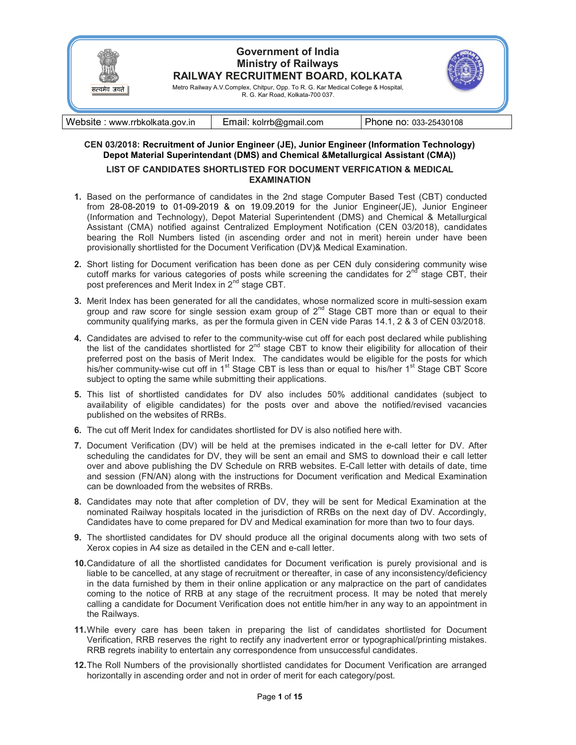

Website : www.rrbkolkata.gov.in Email: kolrrb@gmail.com Phone no: 033-25430108

## CEN 03/2018: Recruitment of Junior Engineer (JE), Junior Engineer (Information Technology) Depot Material Superintendant (DMS) and Chemical &Metallurgical Assistant (CMA))

## LIST OF CANDIDATES SHORTLISTED FOR DOCUMENT VERFICATION & MEDICAL EXAMINATION

- 1. Based on the performance of candidates in the 2nd stage Computer Based Test (CBT) conducted from 28-08-2019 to 01-09-2019 & on 19.09.2019 for the Junior Engineer(JE), Junior Engineer (Information and Technology), Depot Material Superintendent (DMS) and Chemical & Metallurgical Assistant (CMA) notified against Centralized Employment Notification (CEN 03/2018), candidates bearing the Roll Numbers listed (in ascending order and not in merit) herein under have been provisionally shortlisted for the Document Verification (DV)& Medical Examination.
- 2. Short listing for Document verification has been done as per CEN duly considering community wise cutoff marks for various categories of posts while screening the candidates for  $2^{nd}$  stage CBT, their post preferences and Merit Index in 2<sup>nd</sup> stage CBT.
- 3. Merit Index has been generated for all the candidates, whose normalized score in multi-session exam group and raw score for single session exam group of  $2^{nd}$  Stage CBT more than or equal to their community qualifying marks, as per the formula given in CEN vide Paras 14.1, 2 & 3 of CEN 03/2018.
- 4. Candidates are advised to refer to the community-wise cut off for each post declared while publishing the list of the candidates shortlisted for  $2<sup>nd</sup>$  stage CBT to know their eligibility for allocation of their preferred post on the basis of Merit Index. The candidates would be eligible for the posts for which his/her community-wise cut off in 1<sup>st</sup> Stage CBT is less than or equal to his/her 1<sup>st</sup> Stage CBT Score subject to opting the same while submitting their applications.
- 5. This list of shortlisted candidates for DV also includes 50% additional candidates (subject to availability of eligible candidates) for the posts over and above the notified/revised vacancies published on the websites of RRBs.
- 6. The cut off Merit Index for candidates shortlisted for DV is also notified here with.
- 7. Document Verification (DV) will be held at the premises indicated in the e-call letter for DV. After scheduling the candidates for DV, they will be sent an email and SMS to download their e call letter over and above publishing the DV Schedule on RRB websites. E-Call letter with details of date, time and session (FN/AN) along with the instructions for Document verification and Medical Examination can be downloaded from the websites of RRBs.
- 8. Candidates may note that after completion of DV, they will be sent for Medical Examination at the nominated Railway hospitals located in the jurisdiction of RRBs on the next day of DV. Accordingly, Candidates have to come prepared for DV and Medical examination for more than two to four days.
- 9. The shortlisted candidates for DV should produce all the original documents along with two sets of Xerox copies in A4 size as detailed in the CEN and e-call letter.
- 10. Candidature of all the shortlisted candidates for Document verification is purely provisional and is liable to be cancelled, at any stage of recruitment or thereafter, in case of any inconsistency/deficiency in the data furnished by them in their online application or any malpractice on the part of candidates coming to the notice of RRB at any stage of the recruitment process. It may be noted that merely calling a candidate for Document Verification does not entitle him/her in any way to an appointment in the Railways.
- 11. While every care has been taken in preparing the list of candidates shortlisted for Document Verification, RRB reserves the right to rectify any inadvertent error or typographical/printing mistakes. RRB regrets inability to entertain any correspondence from unsuccessful candidates.
- 12. The Roll Numbers of the provisionally shortlisted candidates for Document Verification are arranged horizontally in ascending order and not in order of merit for each category/post.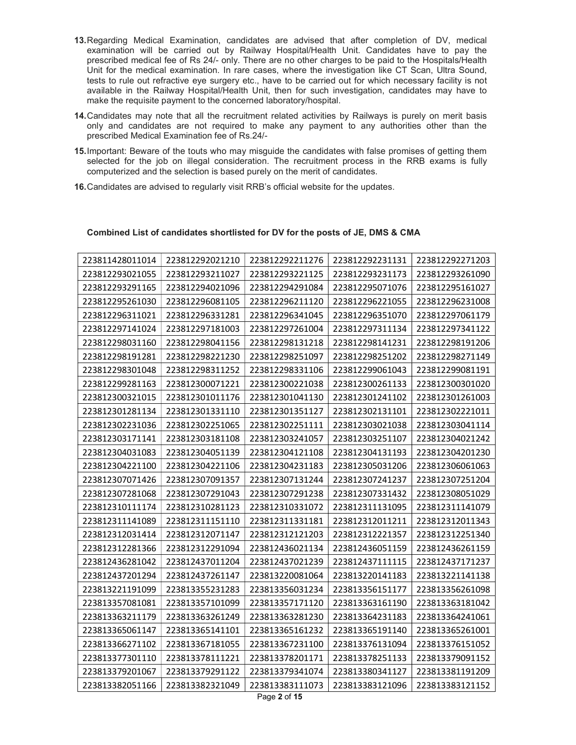- 13. Regarding Medical Examination, candidates are advised that after completion of DV, medical examination will be carried out by Railway Hospital/Health Unit. Candidates have to pay the prescribed medical fee of Rs 24/- only. There are no other charges to be paid to the Hospitals/Health Unit for the medical examination. In rare cases, where the investigation like CT Scan, Ultra Sound, tests to rule out refractive eye surgery etc., have to be carried out for which necessary facility is not available in the Railway Hospital/Health Unit, then for such investigation, candidates may have to make the requisite payment to the concerned laboratory/hospital.
- 14. Candidates may note that all the recruitment related activities by Railways is purely on merit basis only and candidates are not required to make any payment to any authorities other than the prescribed Medical Examination fee of Rs.24/-
- 15. Important: Beware of the touts who may misguide the candidates with false promises of getting them selected for the job on illegal consideration. The recruitment process in the RRB exams is fully computerized and the selection is based purely on the merit of candidates.
- 16. Candidates are advised to regularly visit RRB's official website for the updates.

## 223812292021210 223812292211276 223812292231131 223812292271203 223812293211027 223812293221125 223812293231173 223812293261090 223812294021096 223812294291084 223812295071076 223812295161027 223812296081105 223812296211120 223812296221055 223812296231008 223812296331281 223812296341045 223812296351070 223812297061179 223812297181003 223812297261004 223812297311134 223812297341122 223812298041156 223812298131218 223812298141231 223812298191206 223812298221230 223812298251097 223812298251202 223812298271149 223812298311252 223812298331106 223812299061043 223812299081191 223812300071221 223812300221038 223812300261133 223812300301020 223812301011176 223812301041130 223812301241102 223812301261003 223812301331110 223812301351127 223812302131101 223812302221011 223812302251065 223812302251111 223812303021038 223812303041114 223812303181108 223812303241057 223812303251107 223812304021242 223812304051139 223812304121108 223812304131193 223812304201230 223812304221106 223812304231183 223812305031206 223812306061063 223812307091357 223812307131244 223812307241237 223812307251204 223812307291043 223812307291238 223812307331432 223812308051029 223812310281123 223812310331072 223812311131095 223812311141079 223812311151110 223812311331181 223812312011211 223812312011343 223812312071147 223812312121203 223812312221357 223812312251340 223812312291094 223812436021134 223812436051159 223812436261159 223812437011204 223812437021239 223812437111115 223812437171237 223812437261147 223813220081064 223813220141183 223813221141138 223813355231283 223813356031234 223813356151177 223813356261098 223813357101099 223813357171120 223813363161190 223813363181042 223813363261249 223813363281230 223813364231183 223813364241061 223813365141101 223813365161232 223813365191140 223813365261001 223813367181055 223813367231100 223813376131094 223813376151052 223813378111221 223813378201171 223813378251133 223813379091152 223813379291122 223813379341074 223813380341127 223813381191209 223813382321049 223813383111073 223813383121096 223813383121152

## Combined List of candidates shortlisted for DV for the posts of JE, DMS & CMA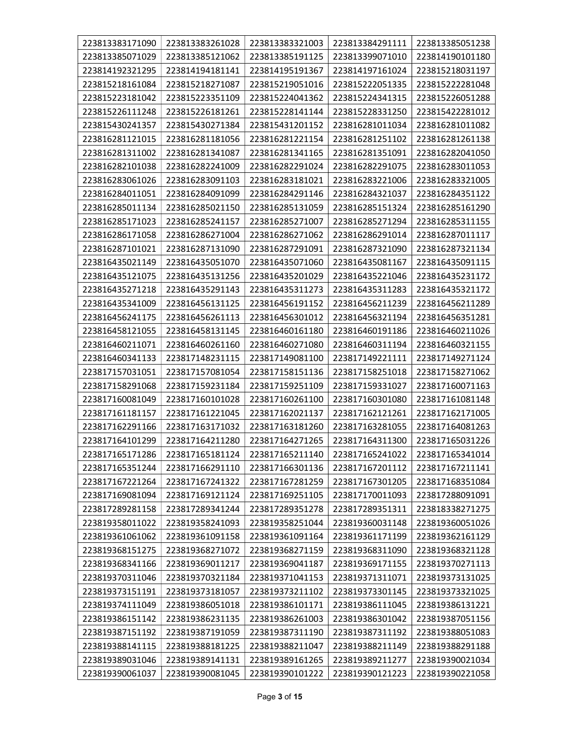| 223813383171090 | 223813383261028 | 223813383321003 | 223813384291111 | 223813385051238 |
|-----------------|-----------------|-----------------|-----------------|-----------------|
| 223813385071029 | 223813385121062 | 223813385191125 | 223813399071010 | 223814190101180 |
| 223814192321295 | 223814194181141 | 223814195191367 | 223814197161024 | 223815218031197 |
| 223815218161084 | 223815218271087 | 223815219051016 | 223815222051335 | 223815222281048 |
| 223815223181042 | 223815223351109 | 223815224041362 | 223815224341315 | 223815226051288 |
| 223815226111248 | 223815226181261 | 223815228141144 | 223815228331250 | 223815422281012 |
| 223815430241357 | 223815430271384 | 223815431201152 | 223816281011034 | 223816281011082 |
| 223816281121015 | 223816281181056 | 223816281221154 | 223816281251102 | 223816281261138 |
| 223816281311002 | 223816281341087 | 223816281341165 | 223816281351091 | 223816282041050 |
| 223816282101038 | 223816282241009 | 223816282291024 | 223816282291075 | 223816283011053 |
| 223816283061026 | 223816283091103 | 223816283181021 | 223816283221006 | 223816283321005 |
| 223816284011051 | 223816284091099 | 223816284291146 | 223816284321037 | 223816284351122 |
| 223816285011134 | 223816285021150 | 223816285131059 | 223816285151324 | 223816285161290 |
| 223816285171023 | 223816285241157 | 223816285271007 | 223816285271294 | 223816285311155 |
| 223816286171058 | 223816286271004 | 223816286271062 | 223816286291014 | 223816287011117 |
| 223816287101021 | 223816287131090 | 223816287291091 | 223816287321090 | 223816287321134 |
| 223816435021149 | 223816435051070 | 223816435071060 | 223816435081167 | 223816435091115 |
| 223816435121075 | 223816435131256 | 223816435201029 | 223816435221046 | 223816435231172 |
| 223816435271218 | 223816435291143 | 223816435311273 | 223816435311283 | 223816435321172 |
| 223816435341009 | 223816456131125 | 223816456191152 | 223816456211239 | 223816456211289 |
| 223816456241175 | 223816456261113 | 223816456301012 | 223816456321194 | 223816456351281 |
| 223816458121055 | 223816458131145 | 223816460161180 | 223816460191186 | 223816460211026 |
| 223816460211071 | 223816460261160 | 223816460271080 | 223816460311194 | 223816460321155 |
| 223816460341133 | 223817148231115 | 223817149081100 | 223817149221111 | 223817149271124 |
| 223817157031051 | 223817157081054 | 223817158151136 | 223817158251018 | 223817158271062 |
| 223817158291068 | 223817159231184 | 223817159251109 | 223817159331027 | 223817160071163 |
| 223817160081049 | 223817160101028 | 223817160261100 | 223817160301080 | 223817161081148 |
| 223817161181157 | 223817161221045 | 223817162021137 | 223817162121261 | 223817162171005 |
| 223817162291166 | 223817163171032 | 223817163181260 | 223817163281055 | 223817164081263 |
| 223817164101299 | 223817164211280 | 223817164271265 | 223817164311300 | 223817165031226 |
| 223817165171286 | 223817165181124 | 223817165211140 | 223817165241022 | 223817165341014 |
| 223817165351244 | 223817166291110 | 223817166301136 | 223817167201112 | 223817167211141 |
| 223817167221264 | 223817167241322 | 223817167281259 | 223817167301205 | 223817168351084 |
| 223817169081094 | 223817169121124 | 223817169251105 | 223817170011093 | 223817288091091 |
| 223817289281158 | 223817289341244 | 223817289351278 | 223817289351311 | 223818338271275 |
| 223819358011022 | 223819358241093 | 223819358251044 | 223819360031148 | 223819360051026 |
| 223819361061062 | 223819361091158 | 223819361091164 | 223819361171199 | 223819362161129 |
| 223819368151275 | 223819368271072 | 223819368271159 | 223819368311090 | 223819368321128 |
| 223819368341166 | 223819369011217 | 223819369041187 | 223819369171155 | 223819370271113 |
| 223819370311046 | 223819370321184 | 223819371041153 | 223819371311071 | 223819373131025 |
| 223819373151191 | 223819373181057 | 223819373211102 | 223819373301145 | 223819373321025 |
| 223819374111049 | 223819386051018 | 223819386101171 | 223819386111045 | 223819386131221 |
| 223819386151142 | 223819386231135 | 223819386261003 | 223819386301042 | 223819387051156 |
| 223819387151192 | 223819387191059 | 223819387311190 | 223819387311192 | 223819388051083 |
| 223819388141115 | 223819388181225 | 223819388211047 | 223819388211149 | 223819388291188 |
| 223819389031046 | 223819389141131 | 223819389161265 | 223819389211277 | 223819390021034 |
| 223819390061037 | 223819390081045 | 223819390101222 | 223819390121223 | 223819390221058 |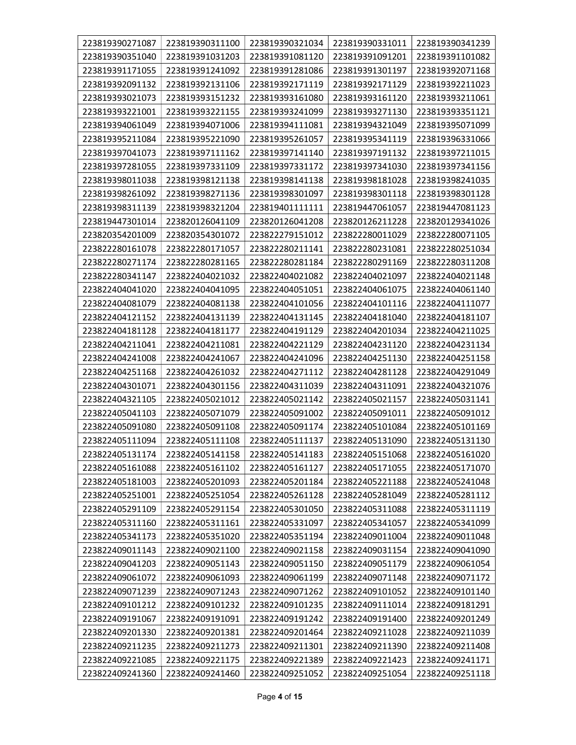| 223819390271087 | 223819390311100 | 223819390321034 | 223819390331011 | 223819390341239 |
|-----------------|-----------------|-----------------|-----------------|-----------------|
| 223819390351040 | 223819391031203 | 223819391081120 | 223819391091201 | 223819391101082 |
| 223819391171055 | 223819391241092 | 223819391281086 | 223819391301197 | 223819392071168 |
| 223819392091132 | 223819392131106 | 223819392171119 | 223819392171129 | 223819392211023 |
| 223819393021073 | 223819393151232 | 223819393161080 | 223819393161120 | 223819393211061 |
| 223819393221001 | 223819393221155 | 223819393241099 | 223819393271130 | 223819393351121 |
| 223819394061049 | 223819394071006 | 223819394111081 | 223819394321049 | 223819395071099 |
| 223819395211084 | 223819395221090 | 223819395261057 | 223819395341119 | 223819396331066 |
| 223819397041073 | 223819397111162 | 223819397141140 | 223819397191132 | 223819397211015 |
| 223819397281055 | 223819397331109 | 223819397331172 | 223819397341030 | 223819397341156 |
| 223819398011038 | 223819398121138 | 223819398141138 | 223819398181028 | 223819398241035 |
| 223819398261092 | 223819398271136 | 223819398301097 | 223819398301118 | 223819398301128 |
| 223819398311139 | 223819398321204 | 223819401111111 | 223819447061057 | 223819447081123 |
| 223819447301014 | 223820126041109 | 223820126041208 | 223820126211228 | 223820129341026 |
| 223820354201009 | 223820354301072 | 223822279151012 | 223822280011029 | 223822280071105 |
| 223822280161078 | 223822280171057 | 223822280211141 | 223822280231081 | 223822280251034 |
| 223822280271174 | 223822280281165 | 223822280281184 | 223822280291169 | 223822280311208 |
| 223822280341147 | 223822404021032 | 223822404021082 | 223822404021097 | 223822404021148 |
| 223822404041020 | 223822404041095 | 223822404051051 | 223822404061075 | 223822404061140 |
| 223822404081079 | 223822404081138 | 223822404101056 | 223822404101116 | 223822404111077 |
| 223822404121152 | 223822404131139 | 223822404131145 | 223822404181040 | 223822404181107 |
| 223822404181128 | 223822404181177 | 223822404191129 | 223822404201034 | 223822404211025 |
| 223822404211041 | 223822404211081 | 223822404221129 | 223822404231120 | 223822404231134 |
| 223822404241008 | 223822404241067 | 223822404241096 | 223822404251130 | 223822404251158 |
| 223822404251168 | 223822404261032 | 223822404271112 | 223822404281128 | 223822404291049 |
| 223822404301071 | 223822404301156 | 223822404311039 | 223822404311091 | 223822404321076 |
| 223822404321105 | 223822405021012 | 223822405021142 | 223822405021157 | 223822405031141 |
| 223822405041103 | 223822405071079 | 223822405091002 | 223822405091011 | 223822405091012 |
| 223822405091080 | 223822405091108 | 223822405091174 | 223822405101084 | 223822405101169 |
| 223822405111094 | 223822405111108 | 223822405111137 | 223822405131090 | 223822405131130 |
| 223822405131174 | 223822405141158 | 223822405141183 | 223822405151068 | 223822405161020 |
| 223822405161088 | 223822405161102 | 223822405161127 | 223822405171055 | 223822405171070 |
| 223822405181003 | 223822405201093 | 223822405201184 | 223822405221188 | 223822405241048 |
| 223822405251001 | 223822405251054 | 223822405261128 | 223822405281049 | 223822405281112 |
| 223822405291109 | 223822405291154 | 223822405301050 | 223822405311088 | 223822405311119 |
| 223822405311160 | 223822405311161 | 223822405331097 | 223822405341057 | 223822405341099 |
| 223822405341173 | 223822405351020 | 223822405351194 | 223822409011004 | 223822409011048 |
| 223822409011143 | 223822409021100 | 223822409021158 | 223822409031154 | 223822409041090 |
| 223822409041203 | 223822409051143 | 223822409051150 | 223822409051179 | 223822409061054 |
| 223822409061072 | 223822409061093 | 223822409061199 | 223822409071148 | 223822409071172 |
| 223822409071239 | 223822409071243 | 223822409071262 | 223822409101052 | 223822409101140 |
| 223822409101212 | 223822409101232 | 223822409101235 | 223822409111014 | 223822409181291 |
| 223822409191067 | 223822409191091 | 223822409191242 | 223822409191400 | 223822409201249 |
| 223822409201330 | 223822409201381 | 223822409201464 | 223822409211028 | 223822409211039 |
| 223822409211235 | 223822409211273 | 223822409211301 | 223822409211390 | 223822409211408 |
| 223822409221085 | 223822409221175 | 223822409221389 | 223822409221423 | 223822409241171 |
| 223822409241360 | 223822409241460 | 223822409251052 | 223822409251054 | 223822409251118 |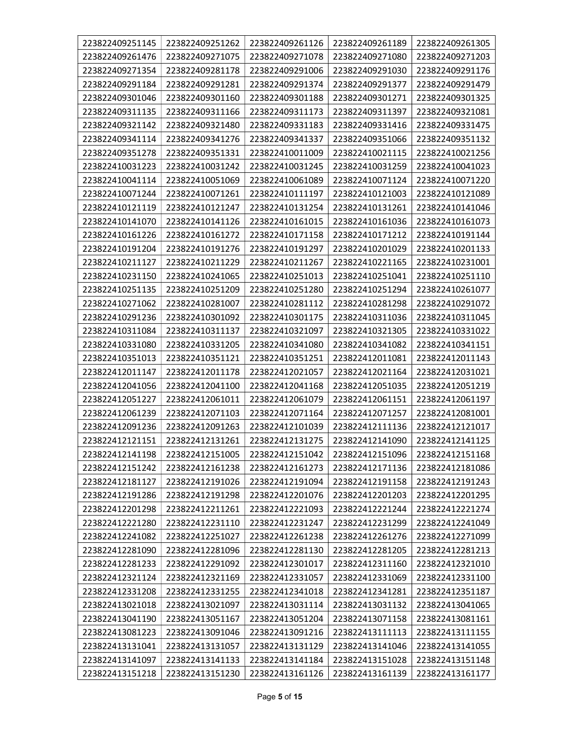| 223822409251145 | 223822409251262 | 223822409261126 | 223822409261189 | 223822409261305 |
|-----------------|-----------------|-----------------|-----------------|-----------------|
| 223822409261476 | 223822409271075 | 223822409271078 | 223822409271080 | 223822409271203 |
| 223822409271354 | 223822409281178 | 223822409291006 | 223822409291030 | 223822409291176 |
| 223822409291184 | 223822409291281 | 223822409291374 | 223822409291377 | 223822409291479 |
| 223822409301046 | 223822409301160 | 223822409301188 | 223822409301271 | 223822409301325 |
| 223822409311135 | 223822409311166 | 223822409311173 | 223822409311397 | 223822409321081 |
| 223822409321142 | 223822409321480 | 223822409331183 | 223822409331416 | 223822409331475 |
| 223822409341114 | 223822409341276 | 223822409341337 | 223822409351066 | 223822409351132 |
| 223822409351278 | 223822409351331 | 223822410011009 | 223822410021115 | 223822410021256 |
| 223822410031223 | 223822410031242 | 223822410031245 | 223822410031259 | 223822410041023 |
| 223822410041114 | 223822410051069 | 223822410061089 | 223822410071124 | 223822410071220 |
| 223822410071244 | 223822410071261 | 223822410111197 | 223822410121003 | 223822410121089 |
| 223822410121119 | 223822410121247 | 223822410131254 | 223822410131261 | 223822410141046 |
| 223822410141070 | 223822410141126 | 223822410161015 | 223822410161036 | 223822410161073 |
| 223822410161226 | 223822410161272 | 223822410171158 | 223822410171212 | 223822410191144 |
| 223822410191204 | 223822410191276 | 223822410191297 | 223822410201029 | 223822410201133 |
| 223822410211127 | 223822410211229 | 223822410211267 | 223822410221165 | 223822410231001 |
| 223822410231150 | 223822410241065 | 223822410251013 | 223822410251041 | 223822410251110 |
| 223822410251135 | 223822410251209 | 223822410251280 | 223822410251294 | 223822410261077 |
| 223822410271062 | 223822410281007 | 223822410281112 | 223822410281298 | 223822410291072 |
| 223822410291236 | 223822410301092 | 223822410301175 | 223822410311036 | 223822410311045 |
| 223822410311084 | 223822410311137 | 223822410321097 | 223822410321305 | 223822410331022 |
| 223822410331080 | 223822410331205 | 223822410341080 | 223822410341082 | 223822410341151 |
| 223822410351013 | 223822410351121 | 223822410351251 | 223822412011081 | 223822412011143 |
| 223822412011147 | 223822412011178 | 223822412021057 | 223822412021164 | 223822412031021 |
| 223822412041056 | 223822412041100 | 223822412041168 | 223822412051035 | 223822412051219 |
| 223822412051227 | 223822412061011 | 223822412061079 | 223822412061151 | 223822412061197 |
| 223822412061239 | 223822412071103 | 223822412071164 | 223822412071257 | 223822412081001 |
| 223822412091236 | 223822412091263 | 223822412101039 | 223822412111136 | 223822412121017 |
| 223822412121151 | 223822412131261 | 223822412131275 | 223822412141090 | 223822412141125 |
| 223822412141198 | 223822412151005 | 223822412151042 | 223822412151096 | 223822412151168 |
| 223822412151242 | 223822412161238 | 223822412161273 | 223822412171136 | 223822412181086 |
| 223822412181127 | 223822412191026 | 223822412191094 | 223822412191158 | 223822412191243 |
| 223822412191286 | 223822412191298 | 223822412201076 | 223822412201203 | 223822412201295 |
| 223822412201298 | 223822412211261 | 223822412221093 | 223822412221244 | 223822412221274 |
| 223822412221280 | 223822412231110 | 223822412231247 | 223822412231299 | 223822412241049 |
| 223822412241082 | 223822412251027 | 223822412261238 | 223822412261276 | 223822412271099 |
| 223822412281090 | 223822412281096 | 223822412281130 | 223822412281205 | 223822412281213 |
| 223822412281233 | 223822412291092 | 223822412301017 | 223822412311160 | 223822412321010 |
| 223822412321124 | 223822412321169 | 223822412331057 | 223822412331069 | 223822412331100 |
| 223822412331208 | 223822412331255 | 223822412341018 | 223822412341281 | 223822412351187 |
| 223822413021018 | 223822413021097 | 223822413031114 | 223822413031132 | 223822413041065 |
| 223822413041190 | 223822413051167 | 223822413051204 | 223822413071158 | 223822413081161 |
| 223822413081223 | 223822413091046 | 223822413091216 | 223822413111113 | 223822413111155 |
| 223822413131041 | 223822413131057 | 223822413131129 | 223822413141046 | 223822413141055 |
| 223822413141097 | 223822413141133 | 223822413141184 | 223822413151028 | 223822413151148 |
| 223822413151218 | 223822413151230 | 223822413161126 | 223822413161139 | 223822413161177 |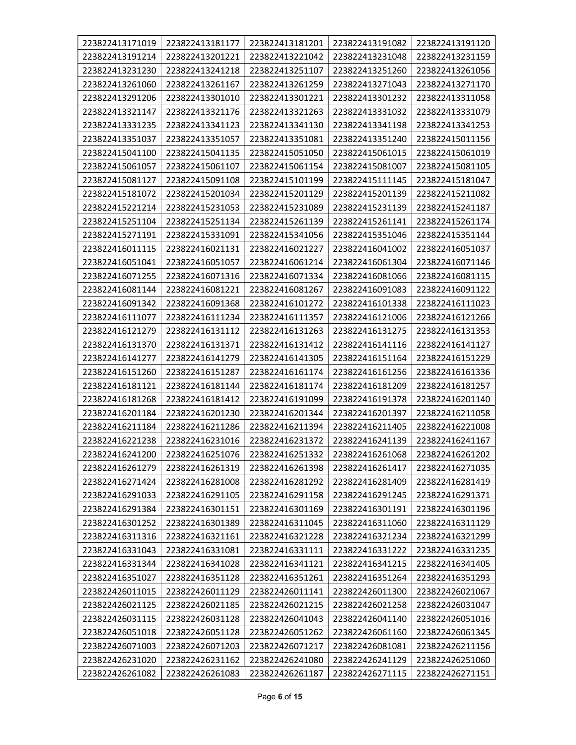| 223822413171019 | 223822413181177 | 223822413181201 | 223822413191082 | 223822413191120 |
|-----------------|-----------------|-----------------|-----------------|-----------------|
| 223822413191214 | 223822413201221 | 223822413221042 | 223822413231048 | 223822413231159 |
| 223822413231230 | 223822413241218 | 223822413251107 | 223822413251260 | 223822413261056 |
| 223822413261060 | 223822413261167 | 223822413261259 | 223822413271043 | 223822413271170 |
| 223822413291206 | 223822413301010 | 223822413301221 | 223822413301232 | 223822413311058 |
| 223822413321147 | 223822413321176 | 223822413321263 | 223822413331032 | 223822413331079 |
| 223822413331235 | 223822413341123 | 223822413341130 | 223822413341198 | 223822413341253 |
| 223822413351037 | 223822413351057 | 223822413351081 | 223822413351240 | 223822415011156 |
| 223822415041100 | 223822415041135 | 223822415051050 | 223822415061015 | 223822415061019 |
| 223822415061057 | 223822415061107 | 223822415061154 | 223822415081007 | 223822415081105 |
| 223822415081127 | 223822415091108 | 223822415101199 | 223822415111145 | 223822415181047 |
| 223822415181072 | 223822415201034 | 223822415201129 | 223822415201139 | 223822415211082 |
| 223822415221214 | 223822415231053 | 223822415231089 | 223822415231139 | 223822415241187 |
| 223822415251104 | 223822415251134 | 223822415261139 | 223822415261141 | 223822415261174 |
| 223822415271191 | 223822415331091 | 223822415341056 | 223822415351046 | 223822415351144 |
| 223822416011115 | 223822416021131 | 223822416021227 | 223822416041002 | 223822416051037 |
| 223822416051041 | 223822416051057 | 223822416061214 | 223822416061304 | 223822416071146 |
| 223822416071255 | 223822416071316 | 223822416071334 | 223822416081066 | 223822416081115 |
| 223822416081144 | 223822416081221 | 223822416081267 | 223822416091083 | 223822416091122 |
| 223822416091342 | 223822416091368 | 223822416101272 | 223822416101338 | 223822416111023 |
| 223822416111077 | 223822416111234 | 223822416111357 | 223822416121006 | 223822416121266 |
| 223822416121279 | 223822416131112 | 223822416131263 | 223822416131275 | 223822416131353 |
| 223822416131370 | 223822416131371 | 223822416131412 | 223822416141116 | 223822416141127 |
| 223822416141277 | 223822416141279 | 223822416141305 | 223822416151164 | 223822416151229 |
| 223822416151260 | 223822416151287 | 223822416161174 | 223822416161256 | 223822416161336 |
| 223822416181121 | 223822416181144 | 223822416181174 | 223822416181209 | 223822416181257 |
| 223822416181268 | 223822416181412 | 223822416191099 | 223822416191378 | 223822416201140 |
| 223822416201184 | 223822416201230 | 223822416201344 | 223822416201397 | 223822416211058 |
| 223822416211184 | 223822416211286 | 223822416211394 | 223822416211405 | 223822416221008 |
| 223822416221238 | 223822416231016 | 223822416231372 | 223822416241139 | 223822416241167 |
| 223822416241200 | 223822416251076 | 223822416251332 | 223822416261068 | 223822416261202 |
| 223822416261279 | 223822416261319 | 223822416261398 | 223822416261417 | 223822416271035 |
| 223822416271424 | 223822416281008 | 223822416281292 | 223822416281409 | 223822416281419 |
| 223822416291033 | 223822416291105 | 223822416291158 | 223822416291245 | 223822416291371 |
| 223822416291384 | 223822416301151 | 223822416301169 | 223822416301191 | 223822416301196 |
| 223822416301252 | 223822416301389 | 223822416311045 | 223822416311060 | 223822416311129 |
| 223822416311316 | 223822416321161 | 223822416321228 | 223822416321234 | 223822416321299 |
| 223822416331043 | 223822416331081 | 223822416331111 | 223822416331222 | 223822416331235 |
| 223822416331344 | 223822416341028 | 223822416341121 | 223822416341215 | 223822416341405 |
| 223822416351027 | 223822416351128 | 223822416351261 | 223822416351264 | 223822416351293 |
| 223822426011015 | 223822426011129 | 223822426011141 | 223822426011300 | 223822426021067 |
| 223822426021125 | 223822426021185 | 223822426021215 | 223822426021258 | 223822426031047 |
| 223822426031115 | 223822426031128 | 223822426041043 | 223822426041140 | 223822426051016 |
| 223822426051018 | 223822426051128 | 223822426051262 | 223822426061160 | 223822426061345 |
| 223822426071003 | 223822426071203 | 223822426071217 | 223822426081081 | 223822426211156 |
| 223822426231020 | 223822426231162 | 223822426241080 | 223822426241129 | 223822426251060 |
| 223822426261082 | 223822426261083 | 223822426261187 | 223822426271115 | 223822426271151 |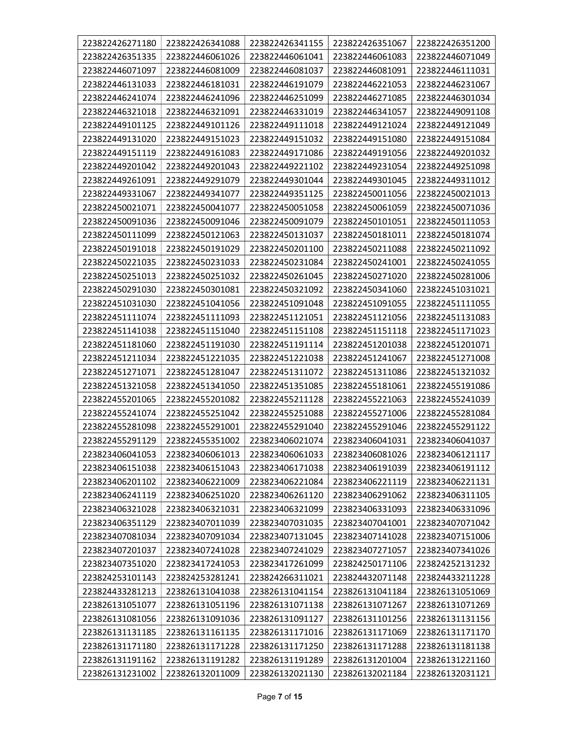| 223822426271180 | 223822426341088 | 223822426341155 | 223822426351067 | 223822426351200 |
|-----------------|-----------------|-----------------|-----------------|-----------------|
| 223822426351335 | 223822446061026 | 223822446061041 | 223822446061083 | 223822446071049 |
| 223822446071097 | 223822446081009 | 223822446081037 | 223822446081091 | 223822446111031 |
| 223822446131033 | 223822446181031 | 223822446191079 | 223822446221053 | 223822446231067 |
| 223822446241074 | 223822446241096 | 223822446251099 | 223822446271085 | 223822446301034 |
| 223822446321018 | 223822446321091 | 223822446331019 | 223822446341057 | 223822449091108 |
| 223822449101125 | 223822449101126 | 223822449111018 | 223822449121024 | 223822449121049 |
| 223822449131020 | 223822449151023 | 223822449151032 | 223822449151080 | 223822449151084 |
| 223822449151119 | 223822449161083 | 223822449171086 | 223822449191056 | 223822449201032 |
| 223822449201042 | 223822449201043 | 223822449221102 | 223822449231054 | 223822449251098 |
| 223822449261091 | 223822449291079 | 223822449301044 | 223822449301045 | 223822449311012 |
| 223822449331067 | 223822449341077 | 223822449351125 | 223822450011056 | 223822450021013 |
| 223822450021071 | 223822450041077 | 223822450051058 | 223822450061059 | 223822450071036 |
| 223822450091036 | 223822450091046 | 223822450091079 | 223822450101051 | 223822450111053 |
| 223822450111099 | 223822450121063 | 223822450131037 | 223822450181011 | 223822450181074 |
| 223822450191018 | 223822450191029 | 223822450201100 | 223822450211088 | 223822450211092 |
| 223822450221035 | 223822450231033 | 223822450231084 | 223822450241001 | 223822450241055 |
| 223822450251013 | 223822450251032 | 223822450261045 | 223822450271020 | 223822450281006 |
| 223822450291030 | 223822450301081 | 223822450321092 | 223822450341060 | 223822451031021 |
| 223822451031030 | 223822451041056 | 223822451091048 | 223822451091055 | 223822451111055 |
| 223822451111074 | 223822451111093 | 223822451121051 | 223822451121056 | 223822451131083 |
| 223822451141038 | 223822451151040 | 223822451151108 | 223822451151118 | 223822451171023 |
| 223822451181060 | 223822451191030 | 223822451191114 | 223822451201038 | 223822451201071 |
| 223822451211034 | 223822451221035 | 223822451221038 | 223822451241067 | 223822451271008 |
| 223822451271071 | 223822451281047 | 223822451311072 | 223822451311086 | 223822451321032 |
| 223822451321058 | 223822451341050 | 223822451351085 | 223822455181061 | 223822455191086 |
| 223822455201065 | 223822455201082 | 223822455211128 | 223822455221063 | 223822455241039 |
| 223822455241074 | 223822455251042 | 223822455251088 | 223822455271006 | 223822455281084 |
| 223822455281098 | 223822455291001 | 223822455291040 | 223822455291046 | 223822455291122 |
| 223822455291129 | 223822455351002 | 223823406021074 | 223823406041031 | 223823406041037 |
| 223823406041053 | 223823406061013 | 223823406061033 | 223823406081026 | 223823406121117 |
| 223823406151038 | 223823406151043 | 223823406171038 | 223823406191039 | 223823406191112 |
| 223823406201102 | 223823406221009 | 223823406221084 | 223823406221119 | 223823406221131 |
| 223823406241119 | 223823406251020 | 223823406261120 | 223823406291062 | 223823406311105 |
| 223823406321028 | 223823406321031 | 223823406321099 | 223823406331093 | 223823406331096 |
| 223823406351129 | 223823407011039 | 223823407031035 | 223823407041001 | 223823407071042 |
| 223823407081034 | 223823407091034 | 223823407131045 | 223823407141028 | 223823407151006 |
| 223823407201037 | 223823407241028 | 223823407241029 | 223823407271057 | 223823407341026 |
| 223823407351020 | 223823417241053 | 223823417261099 | 223824250171106 | 223824252131232 |
| 223824253101143 | 223824253281241 | 223824266311021 | 223824432071148 | 223824433211228 |
| 223824433281213 | 223826131041038 | 223826131041154 | 223826131041184 | 223826131051069 |
| 223826131051077 | 223826131051196 | 223826131071138 | 223826131071267 | 223826131071269 |
| 223826131081056 | 223826131091036 | 223826131091127 | 223826131101256 | 223826131131156 |
| 223826131131185 | 223826131161135 | 223826131171016 | 223826131171069 | 223826131171170 |
| 223826131171180 | 223826131171228 | 223826131171250 | 223826131171288 | 223826131181138 |
| 223826131191162 | 223826131191282 | 223826131191289 | 223826131201004 | 223826131221160 |
| 223826131231002 | 223826132011009 | 223826132021130 | 223826132021184 | 223826132031121 |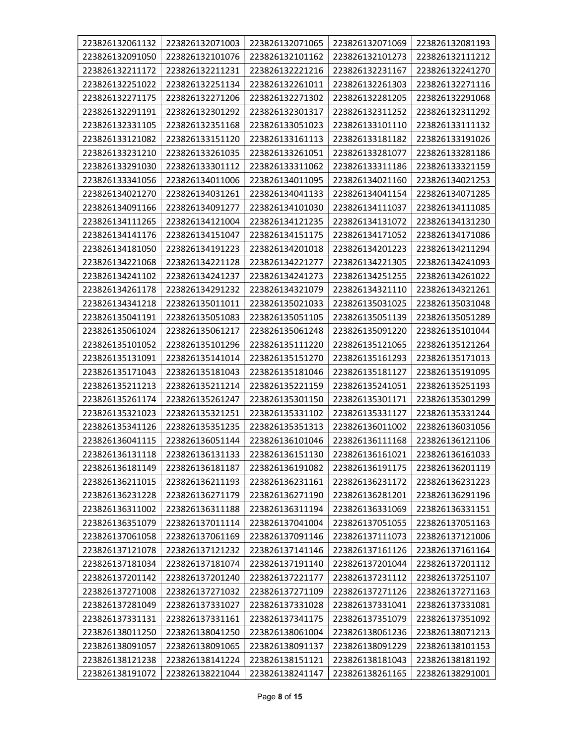| 223826132061132 | 223826132071003 | 223826132071065 | 223826132071069 | 223826132081193 |
|-----------------|-----------------|-----------------|-----------------|-----------------|
| 223826132091050 | 223826132101076 | 223826132101162 | 223826132101273 | 223826132111212 |
| 223826132211172 | 223826132211231 | 223826132221216 | 223826132231167 | 223826132241270 |
| 223826132251022 | 223826132251134 | 223826132261011 | 223826132261303 | 223826132271116 |
| 223826132271175 | 223826132271206 | 223826132271302 | 223826132281205 | 223826132291068 |
| 223826132291191 | 223826132301292 | 223826132301317 | 223826132311252 | 223826132311292 |
| 223826132331105 | 223826132351168 | 223826133051023 | 223826133101110 | 223826133111132 |
| 223826133121082 | 223826133151120 | 223826133161113 | 223826133181182 | 223826133191026 |
| 223826133231210 | 223826133261035 | 223826133261051 | 223826133281077 | 223826133281186 |
| 223826133291030 | 223826133301112 | 223826133311062 | 223826133311186 | 223826133321159 |
| 223826133341056 | 223826134011006 | 223826134011095 | 223826134021160 | 223826134021253 |
| 223826134021270 | 223826134031261 | 223826134041133 | 223826134041154 | 223826134071285 |
| 223826134091166 | 223826134091277 | 223826134101030 | 223826134111037 | 223826134111085 |
| 223826134111265 | 223826134121004 | 223826134121235 | 223826134131072 | 223826134131230 |
| 223826134141176 | 223826134151047 | 223826134151175 | 223826134171052 | 223826134171086 |
| 223826134181050 | 223826134191223 | 223826134201018 | 223826134201223 | 223826134211294 |
| 223826134221068 | 223826134221128 | 223826134221277 | 223826134221305 | 223826134241093 |
| 223826134241102 | 223826134241237 | 223826134241273 | 223826134251255 | 223826134261022 |
| 223826134261178 | 223826134291232 | 223826134321079 | 223826134321110 | 223826134321261 |
| 223826134341218 | 223826135011011 | 223826135021033 | 223826135031025 | 223826135031048 |
| 223826135041191 | 223826135051083 | 223826135051105 | 223826135051139 | 223826135051289 |
| 223826135061024 | 223826135061217 | 223826135061248 | 223826135091220 | 223826135101044 |
| 223826135101052 | 223826135101296 | 223826135111220 | 223826135121065 | 223826135121264 |
| 223826135131091 | 223826135141014 | 223826135151270 | 223826135161293 | 223826135171013 |
| 223826135171043 | 223826135181043 | 223826135181046 | 223826135181127 | 223826135191095 |
| 223826135211213 | 223826135211214 | 223826135221159 | 223826135241051 | 223826135251193 |
| 223826135261174 | 223826135261247 | 223826135301150 | 223826135301171 | 223826135301299 |
| 223826135321023 | 223826135321251 | 223826135331102 | 223826135331127 | 223826135331244 |
| 223826135341126 | 223826135351235 | 223826135351313 | 223826136011002 | 223826136031056 |
| 223826136041115 | 223826136051144 | 223826136101046 | 223826136111168 | 223826136121106 |
| 223826136131118 | 223826136131133 | 223826136151130 | 223826136161021 | 223826136161033 |
| 223826136181149 | 223826136181187 | 223826136191082 | 223826136191175 | 223826136201119 |
| 223826136211015 | 223826136211193 | 223826136231161 | 223826136231172 | 223826136231223 |
| 223826136231228 | 223826136271179 | 223826136271190 | 223826136281201 | 223826136291196 |
| 223826136311002 | 223826136311188 | 223826136311194 | 223826136331069 | 223826136331151 |
| 223826136351079 | 223826137011114 | 223826137041004 | 223826137051055 | 223826137051163 |
| 223826137061058 | 223826137061169 | 223826137091146 | 223826137111073 | 223826137121006 |
| 223826137121078 | 223826137121232 | 223826137141146 | 223826137161126 | 223826137161164 |
| 223826137181034 | 223826137181074 | 223826137191140 | 223826137201044 | 223826137201112 |
| 223826137201142 | 223826137201240 | 223826137221177 | 223826137231112 | 223826137251107 |
| 223826137271008 | 223826137271032 | 223826137271109 | 223826137271126 | 223826137271163 |
| 223826137281049 | 223826137331027 | 223826137331028 | 223826137331041 | 223826137331081 |
| 223826137331131 | 223826137331161 | 223826137341175 | 223826137351079 | 223826137351092 |
| 223826138011250 | 223826138041250 | 223826138061004 | 223826138061236 | 223826138071213 |
| 223826138091057 | 223826138091065 | 223826138091137 | 223826138091229 | 223826138101153 |
| 223826138121238 | 223826138141224 | 223826138151121 | 223826138181043 | 223826138181192 |
| 223826138191072 | 223826138221044 | 223826138241147 | 223826138261165 | 223826138291001 |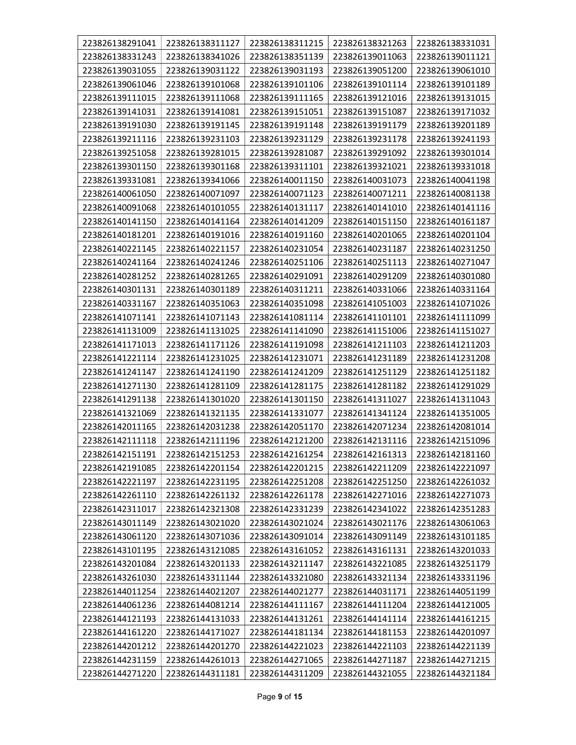| 223826138291041 | 223826138311127 | 223826138311215 | 223826138321263 | 223826138331031 |
|-----------------|-----------------|-----------------|-----------------|-----------------|
| 223826138331243 | 223826138341026 | 223826138351139 | 223826139011063 | 223826139011121 |
| 223826139031055 | 223826139031122 | 223826139031193 | 223826139051200 | 223826139061010 |
| 223826139061046 | 223826139101068 | 223826139101106 | 223826139101114 | 223826139101189 |
| 223826139111015 | 223826139111068 | 223826139111165 | 223826139121016 | 223826139131015 |
| 223826139141031 | 223826139141081 | 223826139151051 | 223826139151087 | 223826139171032 |
| 223826139191030 | 223826139191145 | 223826139191148 | 223826139191179 | 223826139201189 |
| 223826139211116 | 223826139231103 | 223826139231129 | 223826139231178 | 223826139241193 |
| 223826139251058 | 223826139281015 | 223826139281087 | 223826139291092 | 223826139301014 |
| 223826139301150 | 223826139301168 | 223826139311101 | 223826139321021 | 223826139331018 |
| 223826139331081 | 223826139341066 | 223826140011150 | 223826140031073 | 223826140041198 |
| 223826140061050 | 223826140071097 | 223826140071123 | 223826140071211 | 223826140081138 |
| 223826140091068 | 223826140101055 | 223826140131117 | 223826140141010 | 223826140141116 |
| 223826140141150 | 223826140141164 | 223826140141209 | 223826140151150 | 223826140161187 |
| 223826140181201 | 223826140191016 | 223826140191160 | 223826140201065 | 223826140201104 |
| 223826140221145 | 223826140221157 | 223826140231054 | 223826140231187 | 223826140231250 |
| 223826140241164 | 223826140241246 | 223826140251106 | 223826140251113 | 223826140271047 |
| 223826140281252 | 223826140281265 | 223826140291091 | 223826140291209 | 223826140301080 |
| 223826140301131 | 223826140301189 | 223826140311211 | 223826140331066 | 223826140331164 |
| 223826140331167 | 223826140351063 | 223826140351098 | 223826141051003 | 223826141071026 |
| 223826141071141 | 223826141071143 | 223826141081114 | 223826141101101 | 223826141111099 |
| 223826141131009 | 223826141131025 | 223826141141090 | 223826141151006 | 223826141151027 |
| 223826141171013 | 223826141171126 | 223826141191098 | 223826141211103 | 223826141211203 |
| 223826141221114 | 223826141231025 | 223826141231071 | 223826141231189 | 223826141231208 |
| 223826141241147 | 223826141241190 | 223826141241209 | 223826141251129 | 223826141251182 |
| 223826141271130 | 223826141281109 | 223826141281175 | 223826141281182 | 223826141291029 |
| 223826141291138 | 223826141301020 | 223826141301150 | 223826141311027 | 223826141311043 |
| 223826141321069 | 223826141321135 | 223826141331077 | 223826141341124 | 223826141351005 |
| 223826142011165 | 223826142031238 | 223826142051170 | 223826142071234 | 223826142081014 |
| 223826142111118 | 223826142111196 | 223826142121200 | 223826142131116 | 223826142151096 |
| 223826142151191 | 223826142151253 | 223826142161254 | 223826142161313 | 223826142181160 |
| 223826142191085 | 223826142201154 | 223826142201215 | 223826142211209 | 223826142221097 |
| 223826142221197 | 223826142231195 | 223826142251208 | 223826142251250 | 223826142261032 |
| 223826142261110 | 223826142261132 | 223826142261178 | 223826142271016 | 223826142271073 |
| 223826142311017 | 223826142321308 | 223826142331239 | 223826142341022 | 223826142351283 |
| 223826143011149 | 223826143021020 | 223826143021024 | 223826143021176 | 223826143061063 |
| 223826143061120 | 223826143071036 | 223826143091014 | 223826143091149 | 223826143101185 |
| 223826143101195 | 223826143121085 | 223826143161052 | 223826143161131 | 223826143201033 |
| 223826143201084 | 223826143201133 | 223826143211147 | 223826143221085 | 223826143251179 |
| 223826143261030 | 223826143311144 | 223826143321080 | 223826143321134 | 223826143331196 |
| 223826144011254 | 223826144021207 | 223826144021277 | 223826144031171 | 223826144051199 |
| 223826144061236 | 223826144081214 | 223826144111167 | 223826144111204 | 223826144121005 |
| 223826144121193 | 223826144131033 | 223826144131261 | 223826144141114 | 223826144161215 |
| 223826144161220 | 223826144171027 | 223826144181134 | 223826144181153 | 223826144201097 |
| 223826144201212 | 223826144201270 | 223826144221023 | 223826144221103 | 223826144221139 |
| 223826144231159 | 223826144261013 | 223826144271065 | 223826144271187 | 223826144271215 |
| 223826144271220 | 223826144311181 | 223826144311209 | 223826144321055 | 223826144321184 |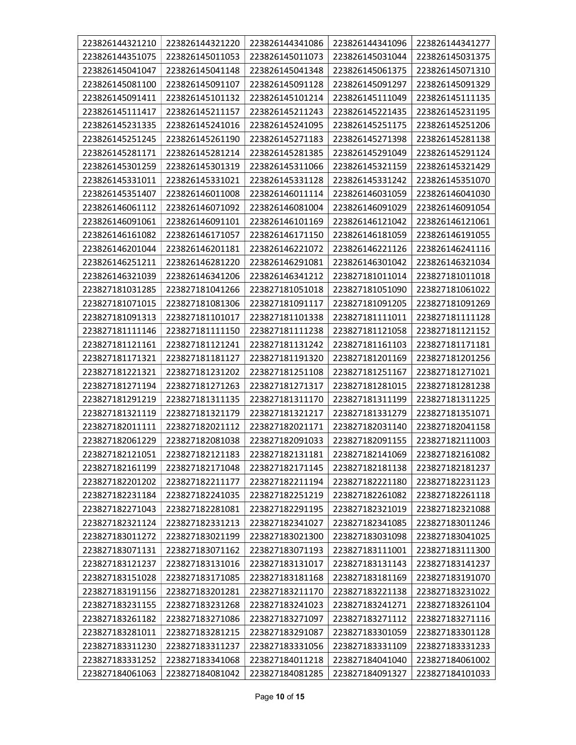| 223826144321210 | 223826144321220 | 223826144341086 | 223826144341096 | 223826144341277 |
|-----------------|-----------------|-----------------|-----------------|-----------------|
| 223826144351075 | 223826145011053 | 223826145011073 | 223826145031044 | 223826145031375 |
| 223826145041047 | 223826145041148 | 223826145041348 | 223826145061375 | 223826145071310 |
| 223826145081100 | 223826145091107 | 223826145091128 | 223826145091297 | 223826145091329 |
| 223826145091411 | 223826145101132 | 223826145101214 | 223826145111049 | 223826145111135 |
| 223826145111417 | 223826145211157 | 223826145211243 | 223826145221435 | 223826145231195 |
| 223826145231335 | 223826145241016 | 223826145241095 | 223826145251175 | 223826145251206 |
| 223826145251245 | 223826145261190 | 223826145271183 | 223826145271398 | 223826145281138 |
| 223826145281171 | 223826145281214 | 223826145281385 | 223826145291049 | 223826145291124 |
| 223826145301259 | 223826145301319 | 223826145311066 | 223826145321159 | 223826145321429 |
| 223826145331011 | 223826145331021 | 223826145331128 | 223826145331242 | 223826145351070 |
| 223826145351407 | 223826146011008 | 223826146011114 | 223826146031059 | 223826146041030 |
| 223826146061112 | 223826146071092 | 223826146081004 | 223826146091029 | 223826146091054 |
| 223826146091061 | 223826146091101 | 223826146101169 | 223826146121042 | 223826146121061 |
| 223826146161082 | 223826146171057 | 223826146171150 | 223826146181059 | 223826146191055 |
| 223826146201044 | 223826146201181 | 223826146221072 | 223826146221126 | 223826146241116 |
| 223826146251211 | 223826146281220 | 223826146291081 | 223826146301042 | 223826146321034 |
| 223826146321039 | 223826146341206 | 223826146341212 | 223827181011014 | 223827181011018 |
| 223827181031285 | 223827181041266 | 223827181051018 | 223827181051090 | 223827181061022 |
| 223827181071015 | 223827181081306 | 223827181091117 | 223827181091205 | 223827181091269 |
| 223827181091313 | 223827181101017 | 223827181101338 | 223827181111011 | 223827181111128 |
| 223827181111146 | 223827181111150 | 223827181111238 | 223827181121058 | 223827181121152 |
| 223827181121161 | 223827181121241 | 223827181131242 | 223827181161103 | 223827181171181 |
| 223827181171321 | 223827181181127 | 223827181191320 | 223827181201169 | 223827181201256 |
| 223827181221321 | 223827181231202 | 223827181251108 | 223827181251167 | 223827181271021 |
| 223827181271194 | 223827181271263 | 223827181271317 | 223827181281015 | 223827181281238 |
| 223827181291219 | 223827181311135 | 223827181311170 | 223827181311199 | 223827181311225 |
| 223827181321119 | 223827181321179 | 223827181321217 | 223827181331279 | 223827181351071 |
| 223827182011111 | 223827182021112 | 223827182021171 | 223827182031140 | 223827182041158 |
| 223827182061229 | 223827182081038 | 223827182091033 | 223827182091155 | 223827182111003 |
| 223827182121051 | 223827182121183 | 223827182131181 | 223827182141069 | 223827182161082 |
| 223827182161199 | 223827182171048 | 223827182171145 | 223827182181138 | 223827182181237 |
| 223827182201202 | 223827182211177 | 223827182211194 | 223827182221180 | 223827182231123 |
| 223827182231184 | 223827182241035 | 223827182251219 | 223827182261082 | 223827182261118 |
| 223827182271043 | 223827182281081 | 223827182291195 | 223827182321019 | 223827182321088 |
| 223827182321124 | 223827182331213 | 223827182341027 | 223827182341085 | 223827183011246 |
| 223827183011272 | 223827183021199 | 223827183021300 | 223827183031098 | 223827183041025 |
| 223827183071131 | 223827183071162 | 223827183071193 | 223827183111001 | 223827183111300 |
| 223827183121237 | 223827183131016 | 223827183131017 | 223827183131143 | 223827183141237 |
| 223827183151028 | 223827183171085 | 223827183181168 | 223827183181169 | 223827183191070 |
| 223827183191156 | 223827183201281 | 223827183211170 | 223827183221138 | 223827183231022 |
| 223827183231155 | 223827183231268 | 223827183241023 | 223827183241271 | 223827183261104 |
| 223827183261182 | 223827183271086 | 223827183271097 | 223827183271112 | 223827183271116 |
| 223827183281011 | 223827183281215 | 223827183291087 | 223827183301059 | 223827183301128 |
| 223827183311230 | 223827183311237 | 223827183331056 | 223827183331109 | 223827183331233 |
| 223827183331252 | 223827183341068 | 223827184011218 | 223827184041040 | 223827184061002 |
| 223827184061063 | 223827184081042 | 223827184081285 | 223827184091327 | 223827184101033 |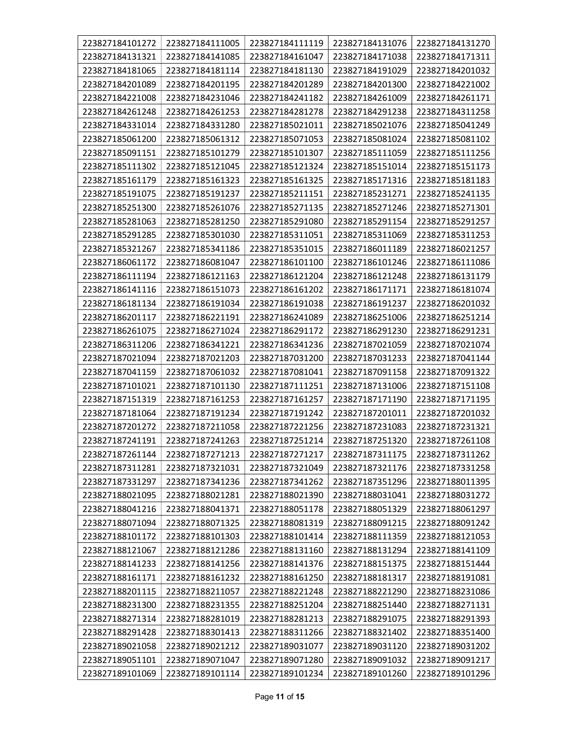| 223827184101272 | 223827184111005 | 223827184111119 | 223827184131076 | 223827184131270 |
|-----------------|-----------------|-----------------|-----------------|-----------------|
| 223827184131321 | 223827184141085 | 223827184161047 | 223827184171038 | 223827184171311 |
| 223827184181065 | 223827184181114 | 223827184181130 | 223827184191029 | 223827184201032 |
| 223827184201089 | 223827184201195 | 223827184201289 | 223827184201300 | 223827184221002 |
| 223827184221008 | 223827184231046 | 223827184241182 | 223827184261009 | 223827184261171 |
| 223827184261248 | 223827184261253 | 223827184281278 | 223827184291238 | 223827184311258 |
| 223827184331014 | 223827184331280 | 223827185021011 | 223827185021076 | 223827185041249 |
| 223827185061200 | 223827185061312 | 223827185071053 | 223827185081024 | 223827185081102 |
| 223827185091151 | 223827185101279 | 223827185101307 | 223827185111059 | 223827185111256 |
| 223827185111302 | 223827185121045 | 223827185121324 | 223827185151014 | 223827185151173 |
| 223827185161179 | 223827185161323 | 223827185161325 | 223827185171316 | 223827185181183 |
| 223827185191075 | 223827185191237 | 223827185211151 | 223827185231271 | 223827185241135 |
| 223827185251300 | 223827185261076 | 223827185271135 | 223827185271246 | 223827185271301 |
| 223827185281063 | 223827185281250 | 223827185291080 | 223827185291154 | 223827185291257 |
| 223827185291285 | 223827185301030 | 223827185311051 | 223827185311069 | 223827185311253 |
| 223827185321267 | 223827185341186 | 223827185351015 | 223827186011189 | 223827186021257 |
| 223827186061172 | 223827186081047 | 223827186101100 | 223827186101246 | 223827186111086 |
| 223827186111194 | 223827186121163 | 223827186121204 | 223827186121248 | 223827186131179 |
| 223827186141116 | 223827186151073 | 223827186161202 | 223827186171171 | 223827186181074 |
| 223827186181134 | 223827186191034 | 223827186191038 | 223827186191237 | 223827186201032 |
| 223827186201117 | 223827186221191 | 223827186241089 | 223827186251006 | 223827186251214 |
| 223827186261075 | 223827186271024 | 223827186291172 | 223827186291230 | 223827186291231 |
| 223827186311206 | 223827186341221 | 223827186341236 | 223827187021059 | 223827187021074 |
| 223827187021094 | 223827187021203 | 223827187031200 | 223827187031233 | 223827187041144 |
| 223827187041159 | 223827187061032 | 223827187081041 | 223827187091158 | 223827187091322 |
| 223827187101021 | 223827187101130 | 223827187111251 | 223827187131006 | 223827187151108 |
| 223827187151319 | 223827187161253 | 223827187161257 | 223827187171190 | 223827187171195 |
| 223827187181064 | 223827187191234 | 223827187191242 | 223827187201011 | 223827187201032 |
| 223827187201272 | 223827187211058 | 223827187221256 | 223827187231083 | 223827187231321 |
| 223827187241191 | 223827187241263 | 223827187251214 | 223827187251320 | 223827187261108 |
| 223827187261144 | 223827187271213 | 223827187271217 | 223827187311175 | 223827187311262 |
| 223827187311281 | 223827187321031 | 223827187321049 | 223827187321176 | 223827187331258 |
| 223827187331297 | 223827187341236 | 223827187341262 | 223827187351296 | 223827188011395 |
| 223827188021095 | 223827188021281 | 223827188021390 | 223827188031041 | 223827188031272 |
| 223827188041216 | 223827188041371 | 223827188051178 | 223827188051329 | 223827188061297 |
| 223827188071094 | 223827188071325 | 223827188081319 | 223827188091215 | 223827188091242 |
| 223827188101172 | 223827188101303 | 223827188101414 | 223827188111359 | 223827188121053 |
| 223827188121067 | 223827188121286 | 223827188131160 | 223827188131294 | 223827188141109 |
| 223827188141233 | 223827188141256 | 223827188141376 | 223827188151375 | 223827188151444 |
| 223827188161171 | 223827188161232 | 223827188161250 | 223827188181317 | 223827188191081 |
| 223827188201115 | 223827188211057 | 223827188221248 | 223827188221290 | 223827188231086 |
| 223827188231300 | 223827188231355 | 223827188251204 | 223827188251440 | 223827188271131 |
| 223827188271314 | 223827188281019 | 223827188281213 | 223827188291075 | 223827188291393 |
| 223827188291428 | 223827188301413 | 223827188311266 | 223827188321402 | 223827188351400 |
| 223827189021058 | 223827189021212 | 223827189031077 | 223827189031120 | 223827189031202 |
| 223827189051101 | 223827189071047 | 223827189071280 | 223827189091032 | 223827189091217 |
| 223827189101069 | 223827189101114 | 223827189101234 | 223827189101260 | 223827189101296 |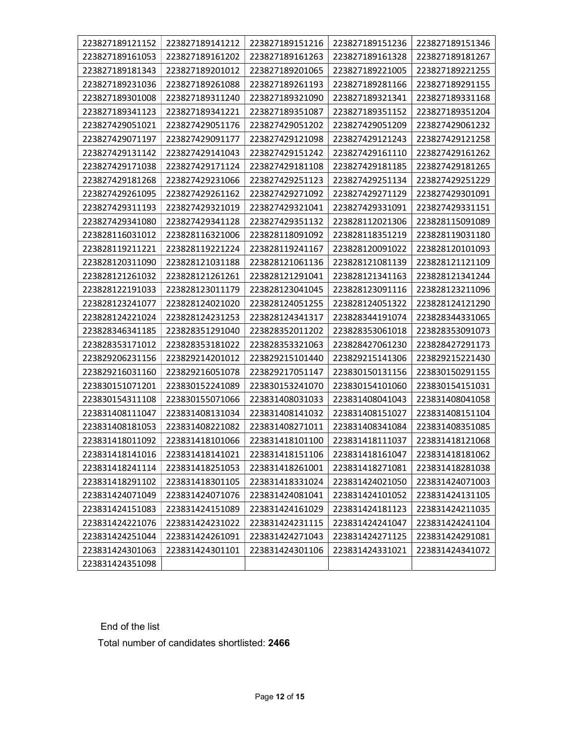| 223827189121152 | 223827189141212 | 223827189151216 | 223827189151236 | 223827189151346 |
|-----------------|-----------------|-----------------|-----------------|-----------------|
| 223827189161053 | 223827189161202 | 223827189161263 | 223827189161328 | 223827189181267 |
| 223827189181343 | 223827189201012 | 223827189201065 | 223827189221005 | 223827189221255 |
| 223827189231036 | 223827189261088 | 223827189261193 | 223827189281166 | 223827189291155 |
| 223827189301008 | 223827189311240 | 223827189321090 | 223827189321341 | 223827189331168 |
| 223827189341123 | 223827189341221 | 223827189351087 | 223827189351152 | 223827189351204 |
| 223827429051021 | 223827429051176 | 223827429051202 | 223827429051209 | 223827429061232 |
| 223827429071197 | 223827429091177 | 223827429121098 | 223827429121243 | 223827429121258 |
| 223827429131142 | 223827429141043 | 223827429151242 | 223827429161110 | 223827429161262 |
| 223827429171038 | 223827429171124 | 223827429181108 | 223827429181185 | 223827429181265 |
| 223827429181268 | 223827429231066 | 223827429251123 | 223827429251134 | 223827429251229 |
| 223827429261095 | 223827429261162 | 223827429271092 | 223827429271129 | 223827429301091 |
| 223827429311193 | 223827429321019 | 223827429321041 | 223827429331091 | 223827429331151 |
| 223827429341080 | 223827429341128 | 223827429351132 | 223828112021306 | 223828115091089 |
| 223828116031012 | 223828116321006 | 223828118091092 | 223828118351219 | 223828119031180 |
| 223828119211221 | 223828119221224 | 223828119241167 | 223828120091022 | 223828120101093 |
| 223828120311090 | 223828121031188 | 223828121061136 | 223828121081139 | 223828121121109 |
| 223828121261032 | 223828121261261 | 223828121291041 | 223828121341163 | 223828121341244 |
| 223828122191033 | 223828123011179 | 223828123041045 | 223828123091116 | 223828123211096 |
| 223828123241077 | 223828124021020 | 223828124051255 | 223828124051322 | 223828124121290 |
| 223828124221024 | 223828124231253 | 223828124341317 | 223828344191074 | 223828344331065 |
| 223828346341185 | 223828351291040 | 223828352011202 | 223828353061018 | 223828353091073 |
| 223828353171012 | 223828353181022 | 223828353321063 | 223828427061230 | 223828427291173 |
| 223829206231156 | 223829214201012 | 223829215101440 | 223829215141306 | 223829215221430 |
| 223829216031160 | 223829216051078 | 223829217051147 | 223830150131156 | 223830150291155 |
| 223830151071201 | 223830152241089 | 223830153241070 | 223830154101060 | 223830154151031 |
| 223830154311108 | 223830155071066 | 223831408031033 | 223831408041043 | 223831408041058 |
| 223831408111047 | 223831408131034 | 223831408141032 | 223831408151027 | 223831408151104 |
| 223831408181053 | 223831408221082 | 223831408271011 | 223831408341084 | 223831408351085 |
| 223831418011092 | 223831418101066 | 223831418101100 | 223831418111037 | 223831418121068 |
| 223831418141016 | 223831418141021 | 223831418151106 | 223831418161047 | 223831418181062 |
| 223831418241114 | 223831418251053 | 223831418261001 | 223831418271081 | 223831418281038 |
| 223831418291102 | 223831418301105 | 223831418331024 | 223831424021050 | 223831424071003 |
| 223831424071049 | 223831424071076 | 223831424081041 | 223831424101052 | 223831424131105 |
| 223831424151083 | 223831424151089 | 223831424161029 | 223831424181123 | 223831424211035 |
| 223831424221076 | 223831424231022 | 223831424231115 | 223831424241047 | 223831424241104 |
| 223831424251044 | 223831424261091 | 223831424271043 | 223831424271125 | 223831424291081 |
| 223831424301063 | 223831424301101 | 223831424301106 | 223831424331021 | 223831424341072 |
| 223831424351098 |                 |                 |                 |                 |

End of the list

Total number of candidates shortlisted: 2466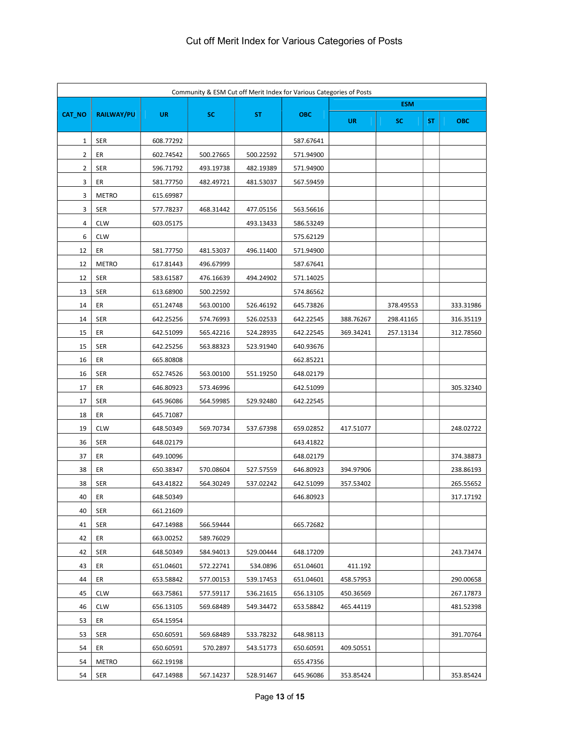| Community & ESM Cut off Merit Index for Various Categories of Posts |                   |           |           |           |            |           |            |           |            |
|---------------------------------------------------------------------|-------------------|-----------|-----------|-----------|------------|-----------|------------|-----------|------------|
|                                                                     |                   |           |           |           |            |           | <b>ESM</b> |           |            |
| CAT_NO                                                              | <b>RAILWAY/PU</b> | <b>UR</b> | SC.       | <b>ST</b> | <b>OBC</b> | <b>UR</b> | SC         | <b>ST</b> | <b>OBC</b> |
| 1                                                                   | <b>SER</b>        | 608.77292 |           |           | 587.67641  |           |            |           |            |
| 2                                                                   | ER                | 602.74542 | 500.27665 | 500.22592 | 571.94900  |           |            |           |            |
| 2                                                                   | <b>SER</b>        | 596.71792 | 493.19738 | 482.19389 | 571.94900  |           |            |           |            |
| 3                                                                   | ER                | 581.77750 | 482.49721 | 481.53037 | 567.59459  |           |            |           |            |
| 3                                                                   | <b>METRO</b>      | 615.69987 |           |           |            |           |            |           |            |
| 3                                                                   | <b>SER</b>        | 577.78237 | 468.31442 | 477.05156 | 563.56616  |           |            |           |            |
| 4                                                                   | <b>CLW</b>        | 603.05175 |           | 493.13433 | 586.53249  |           |            |           |            |
| 6                                                                   | <b>CLW</b>        |           |           |           | 575.62129  |           |            |           |            |
| 12                                                                  | ER                | 581.77750 | 481.53037 | 496.11400 | 571.94900  |           |            |           |            |
| 12                                                                  | <b>METRO</b>      | 617.81443 | 496.67999 |           | 587.67641  |           |            |           |            |
| 12                                                                  | <b>SER</b>        | 583.61587 | 476.16639 | 494.24902 | 571.14025  |           |            |           |            |
| 13                                                                  | <b>SER</b>        | 613.68900 | 500.22592 |           | 574.86562  |           |            |           |            |
| 14                                                                  | ER                | 651.24748 | 563.00100 | 526.46192 | 645.73826  |           | 378.49553  |           | 333.31986  |
| 14                                                                  | <b>SER</b>        | 642.25256 | 574.76993 | 526.02533 | 642.22545  | 388.76267 | 298.41165  |           | 316.35119  |
| 15                                                                  | ER                | 642.51099 | 565.42216 | 524.28935 | 642.22545  | 369.34241 | 257.13134  |           | 312.78560  |
| 15                                                                  | <b>SER</b>        | 642.25256 | 563.88323 | 523.91940 | 640.93676  |           |            |           |            |
| 16                                                                  | ER                | 665.80808 |           |           | 662.85221  |           |            |           |            |
| 16                                                                  | <b>SER</b>        | 652.74526 | 563.00100 | 551.19250 | 648.02179  |           |            |           |            |
| 17                                                                  | ER                | 646.80923 | 573.46996 |           | 642.51099  |           |            |           | 305.32340  |
| 17                                                                  | <b>SER</b>        | 645.96086 | 564.59985 | 529.92480 | 642.22545  |           |            |           |            |
| 18                                                                  | ER                | 645.71087 |           |           |            |           |            |           |            |
| 19                                                                  | <b>CLW</b>        | 648.50349 | 569.70734 | 537.67398 | 659.02852  | 417.51077 |            |           | 248.02722  |
| 36                                                                  | <b>SER</b>        | 648.02179 |           |           | 643.41822  |           |            |           |            |
| 37                                                                  | ER                | 649.10096 |           |           | 648.02179  |           |            |           | 374.38873  |
| 38                                                                  | ER                | 650.38347 | 570.08604 | 527.57559 | 646.80923  | 394.97906 |            |           | 238.86193  |
| 38                                                                  | <b>SER</b>        | 643.41822 | 564.30249 | 537.02242 | 642.51099  | 357.53402 |            |           | 265.55652  |
| 40                                                                  | ER                | 648.50349 |           |           | 646.80923  |           |            |           | 317.17192  |
| 40                                                                  | <b>SER</b>        | 661.21609 |           |           |            |           |            |           |            |
| 41                                                                  | <b>SER</b>        | 647.14988 | 566.59444 |           | 665.72682  |           |            |           |            |
| 42                                                                  | ER                | 663.00252 | 589.76029 |           |            |           |            |           |            |
| 42                                                                  | <b>SER</b>        | 648.50349 | 584.94013 | 529.00444 | 648.17209  |           |            |           | 243.73474  |
| 43                                                                  | ER                | 651.04601 | 572.22741 | 534.0896  | 651.04601  | 411.192   |            |           |            |
| 44                                                                  | ER                | 653.58842 | 577.00153 | 539.17453 | 651.04601  | 458.57953 |            |           | 290.00658  |
| 45                                                                  | <b>CLW</b>        | 663.75861 | 577.59117 | 536.21615 | 656.13105  | 450.36569 |            |           | 267.17873  |
| 46                                                                  | <b>CLW</b>        | 656.13105 | 569.68489 | 549.34472 | 653.58842  | 465.44119 |            |           | 481.52398  |
| 53                                                                  | ER                | 654.15954 |           |           |            |           |            |           |            |
| 53                                                                  | <b>SER</b>        | 650.60591 | 569.68489 | 533.78232 | 648.98113  |           |            |           | 391.70764  |
| 54                                                                  | ER                | 650.60591 | 570.2897  | 543.51773 | 650.60591  | 409.50551 |            |           |            |
| 54                                                                  | <b>METRO</b>      | 662.19198 |           |           | 655.47356  |           |            |           |            |
| 54                                                                  | <b>SER</b>        | 647.14988 | 567.14237 | 528.91467 | 645.96086  | 353.85424 |            |           | 353.85424  |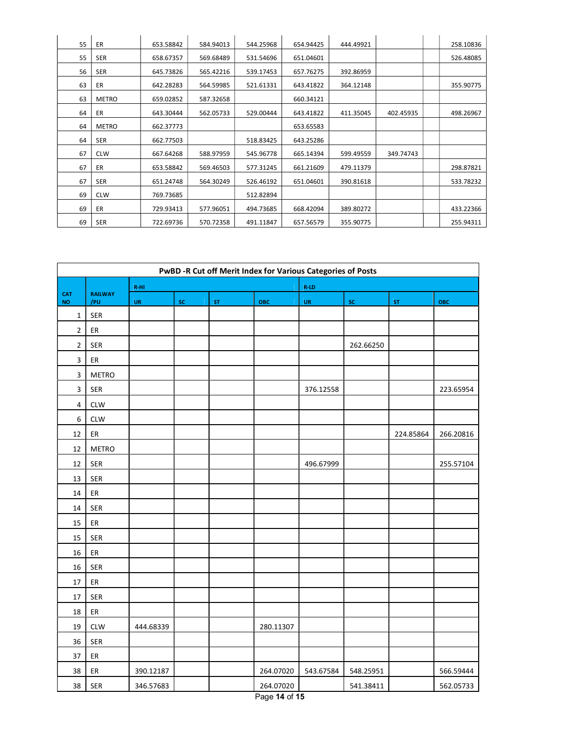| 55 | ER           | 653.58842 | 584.94013 | 544.25968 | 654.94425 | 444.49921 |           | 258.10836 |
|----|--------------|-----------|-----------|-----------|-----------|-----------|-----------|-----------|
| 55 | <b>SER</b>   | 658.67357 | 569.68489 | 531.54696 | 651.04601 |           |           | 526.48085 |
| 56 | <b>SER</b>   | 645.73826 | 565.42216 | 539.17453 | 657.76275 | 392.86959 |           |           |
| 63 | ER           | 642.28283 | 564.59985 | 521.61331 | 643.41822 | 364.12148 |           | 355.90775 |
| 63 | <b>METRO</b> | 659.02852 | 587.32658 |           | 660.34121 |           |           |           |
| 64 | ER           | 643.30444 | 562.05733 | 529.00444 | 643.41822 | 411.35045 | 402.45935 | 498.26967 |
| 64 | <b>METRO</b> | 662.37773 |           |           | 653.65583 |           |           |           |
| 64 | <b>SER</b>   | 662.77503 |           | 518.83425 | 643.25286 |           |           |           |
| 67 | <b>CLW</b>   | 667.64268 | 588.97959 | 545.96778 | 665.14394 | 599.49559 | 349.74743 |           |
| 67 | ER           | 653.58842 | 569.46503 | 577.31245 | 661.21609 | 479.11379 |           | 298.87821 |
| 67 | <b>SER</b>   | 651.24748 | 564.30249 | 526.46192 | 651.04601 | 390.81618 |           | 533.78232 |
| 69 | <b>CLW</b>   | 769.73685 |           | 512.82894 |           |           |           |           |
| 69 | ER           | 729.93413 | 577.96051 | 494.73685 | 668.42094 | 389.80272 |           | 433.22366 |
| 69 | <b>SER</b>   | 722.69736 | 570.72358 | 491.11847 | 657.56579 | 355.90775 |           | 255.94311 |

| PwBD -R Cut off Merit Index for Various Categories of Posts |                       |           |               |    |                                                     |           |           |           |           |  |  |
|-------------------------------------------------------------|-----------------------|-----------|---------------|----|-----------------------------------------------------|-----------|-----------|-----------|-----------|--|--|
|                                                             |                       | R-HI      |               |    |                                                     | $R$ -LD   |           |           |           |  |  |
| <b>CAT</b><br><b>NO</b>                                     | <b>RAILWAY</b><br>/PU | UR        | $\mathsf{sc}$ | ST | ОВС                                                 | UR        | <b>SC</b> | ST        | ОВС       |  |  |
| $\mathbf 1$                                                 | SER                   |           |               |    |                                                     |           |           |           |           |  |  |
| $\overline{2}$                                              | ${\sf ER}$            |           |               |    |                                                     |           |           |           |           |  |  |
| $\overline{2}$                                              | SER                   |           |               |    |                                                     |           | 262.66250 |           |           |  |  |
| 3                                                           | ER                    |           |               |    |                                                     |           |           |           |           |  |  |
| 3                                                           | <b>METRO</b>          |           |               |    |                                                     |           |           |           |           |  |  |
| 3                                                           | SER                   |           |               |    |                                                     | 376.12558 |           |           | 223.65954 |  |  |
| $\overline{4}$                                              | <b>CLW</b>            |           |               |    |                                                     |           |           |           |           |  |  |
| 6                                                           | <b>CLW</b>            |           |               |    |                                                     |           |           |           |           |  |  |
| 12                                                          | ER                    |           |               |    |                                                     |           |           | 224.85864 | 266.20816 |  |  |
| 12                                                          | METRO                 |           |               |    |                                                     |           |           |           |           |  |  |
| 12                                                          | SER                   |           |               |    |                                                     | 496.67999 |           |           | 255.57104 |  |  |
| 13                                                          | SER                   |           |               |    |                                                     |           |           |           |           |  |  |
| 14                                                          | ER                    |           |               |    |                                                     |           |           |           |           |  |  |
| 14                                                          | <b>SER</b>            |           |               |    |                                                     |           |           |           |           |  |  |
| 15                                                          | ER                    |           |               |    |                                                     |           |           |           |           |  |  |
| 15                                                          | SER                   |           |               |    |                                                     |           |           |           |           |  |  |
| 16                                                          | ER                    |           |               |    |                                                     |           |           |           |           |  |  |
| 16                                                          | SER                   |           |               |    |                                                     |           |           |           |           |  |  |
| $17\,$                                                      | ER                    |           |               |    |                                                     |           |           |           |           |  |  |
| 17                                                          | SER                   |           |               |    |                                                     |           |           |           |           |  |  |
| 18                                                          | ${\sf ER}$            |           |               |    |                                                     |           |           |           |           |  |  |
| 19                                                          | <b>CLW</b>            | 444.68339 |               |    | 280.11307                                           |           |           |           |           |  |  |
| 36                                                          | SER                   |           |               |    |                                                     |           |           |           |           |  |  |
| 37                                                          | ER                    |           |               |    |                                                     |           |           |           |           |  |  |
| 38                                                          | ER                    | 390.12187 |               |    | 264.07020                                           | 543.67584 | 548.25951 |           | 566.59444 |  |  |
| 38                                                          | SER                   | 346.57683 |               |    | 264.07020<br>$\sim$ $\sim$ $\sim$<br>$\overline{a}$ |           | 541.38411 |           | 562.05733 |  |  |